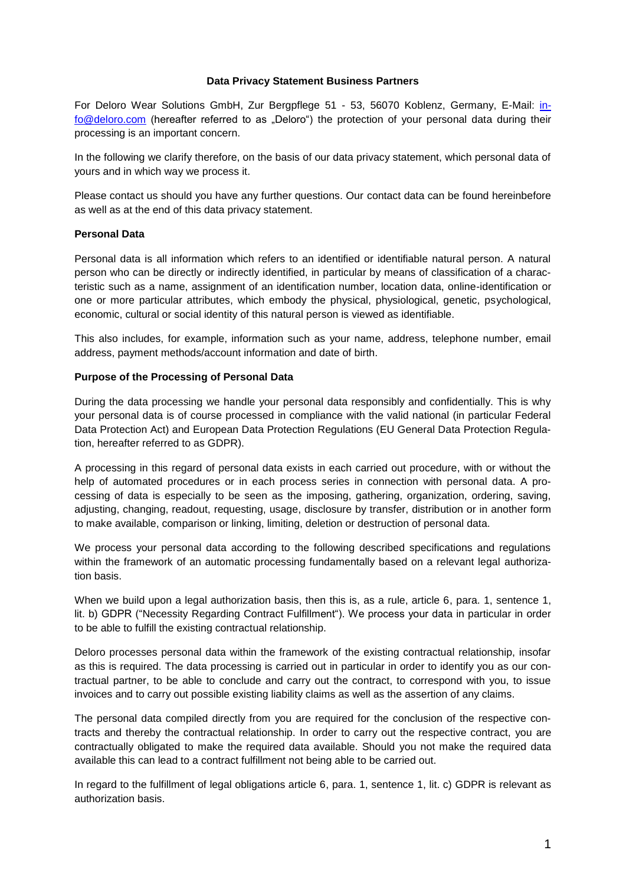#### **Data Privacy Statement Business Partners**

For Deloro Wear Solutions GmbH, Zur Bergpflege 51 - 53, 56070 Koblenz, Germany, E-Mail: [in](mailto:info@deloro.com)[fo@deloro.com](mailto:info@deloro.com) (hereafter referred to as "Deloro") the protection of your personal data during their processing is an important concern.

In the following we clarify therefore, on the basis of our data privacy statement, which personal data of yours and in which way we process it.

Please contact us should you have any further questions. Our contact data can be found hereinbefore as well as at the end of this data privacy statement.

# **Personal Data**

Personal data is all information which refers to an identified or identifiable natural person. A natural person who can be directly or indirectly identified, in particular by means of classification of a characteristic such as a name, assignment of an identification number, location data, online-identification or one or more particular attributes, which embody the physical, physiological, genetic, psychological, economic, cultural or social identity of this natural person is viewed as identifiable.

This also includes, for example, information such as your name, address, telephone number, email address, payment methods/account information and date of birth.

## **Purpose of the Processing of Personal Data**

During the data processing we handle your personal data responsibly and confidentially. This is why your personal data is of course processed in compliance with the valid national (in particular Federal Data Protection Act) and European Data Protection Regulations (EU General Data Protection Regulation, hereafter referred to as GDPR).

A processing in this regard of personal data exists in each carried out procedure, with or without the help of automated procedures or in each process series in connection with personal data. A processing of data is especially to be seen as the imposing, gathering, organization, ordering, saving, adjusting, changing, readout, requesting, usage, disclosure by transfer, distribution or in another form to make available, comparison or linking, limiting, deletion or destruction of personal data.

We process your personal data according to the following described specifications and regulations within the framework of an automatic processing fundamentally based on a relevant legal authorization basis.

When we build upon a legal authorization basis, then this is, as a rule, article 6, para. 1, sentence 1, lit. b) GDPR ("Necessity Regarding Contract Fulfillment"). We process your data in particular in order to be able to fulfill the existing contractual relationship.

Deloro processes personal data within the framework of the existing contractual relationship, insofar as this is required. The data processing is carried out in particular in order to identify you as our contractual partner, to be able to conclude and carry out the contract, to correspond with you, to issue invoices and to carry out possible existing liability claims as well as the assertion of any claims.

The personal data compiled directly from you are required for the conclusion of the respective contracts and thereby the contractual relationship. In order to carry out the respective contract, you are contractually obligated to make the required data available. Should you not make the required data available this can lead to a contract fulfillment not being able to be carried out.

In regard to the fulfillment of legal obligations article 6, para. 1, sentence 1, lit. c) GDPR is relevant as authorization basis.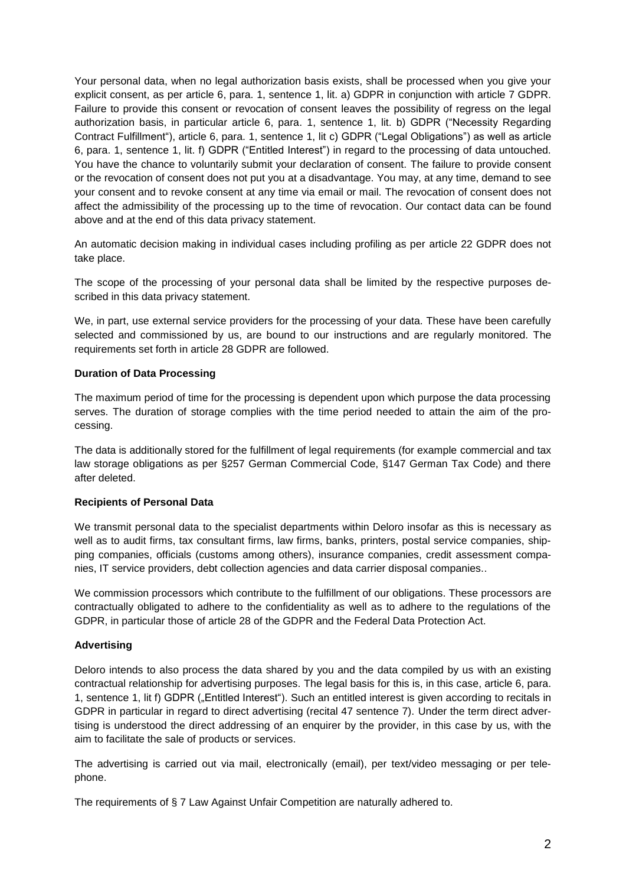Your personal data, when no legal authorization basis exists, shall be processed when you give your explicit consent, as per article 6, para. 1, sentence 1, lit. a) GDPR in conjunction with article 7 GDPR. Failure to provide this consent or revocation of consent leaves the possibility of regress on the legal authorization basis, in particular article 6, para. 1, sentence 1, lit. b) GDPR ("Necessity Regarding Contract Fulfillment"), article 6, para. 1, sentence 1, lit c) GDPR ("Legal Obligations") as well as article 6, para. 1, sentence 1, lit. f) GDPR ("Entitled Interest") in regard to the processing of data untouched. You have the chance to voluntarily submit your declaration of consent. The failure to provide consent or the revocation of consent does not put you at a disadvantage. You may, at any time, demand to see your consent and to revoke consent at any time via email or mail. The revocation of consent does not affect the admissibility of the processing up to the time of revocation. Our contact data can be found above and at the end of this data privacy statement.

An automatic decision making in individual cases including profiling as per article 22 GDPR does not take place.

The scope of the processing of your personal data shall be limited by the respective purposes described in this data privacy statement.

We, in part, use external service providers for the processing of your data. These have been carefully selected and commissioned by us, are bound to our instructions and are regularly monitored. The requirements set forth in article 28 GDPR are followed.

## **Duration of Data Processing**

The maximum period of time for the processing is dependent upon which purpose the data processing serves. The duration of storage complies with the time period needed to attain the aim of the processing.

The data is additionally stored for the fulfillment of legal requirements (for example commercial and tax law storage obligations as per §257 German Commercial Code, §147 German Tax Code) and there after deleted.

## **Recipients of Personal Data**

We transmit personal data to the specialist departments within Deloro insofar as this is necessary as well as to audit firms, tax consultant firms, law firms, banks, printers, postal service companies, shipping companies, officials (customs among others), insurance companies, credit assessment companies, IT service providers, debt collection agencies and data carrier disposal companies..

We commission processors which contribute to the fulfillment of our obligations. These processors are contractually obligated to adhere to the confidentiality as well as to adhere to the regulations of the GDPR, in particular those of article 28 of the GDPR and the Federal Data Protection Act.

## **Advertising**

Deloro intends to also process the data shared by you and the data compiled by us with an existing contractual relationship for advertising purposes. The legal basis for this is, in this case, article 6, para. 1, sentence 1, lit f) GDPR ("Entitled Interest"). Such an entitled interest is given according to recitals in GDPR in particular in regard to direct advertising (recital 47 sentence 7). Under the term direct advertising is understood the direct addressing of an enquirer by the provider, in this case by us, with the aim to facilitate the sale of products or services.

The advertising is carried out via mail, electronically (email), per text/video messaging or per telephone.

The requirements of § 7 Law Against Unfair Competition are naturally adhered to.